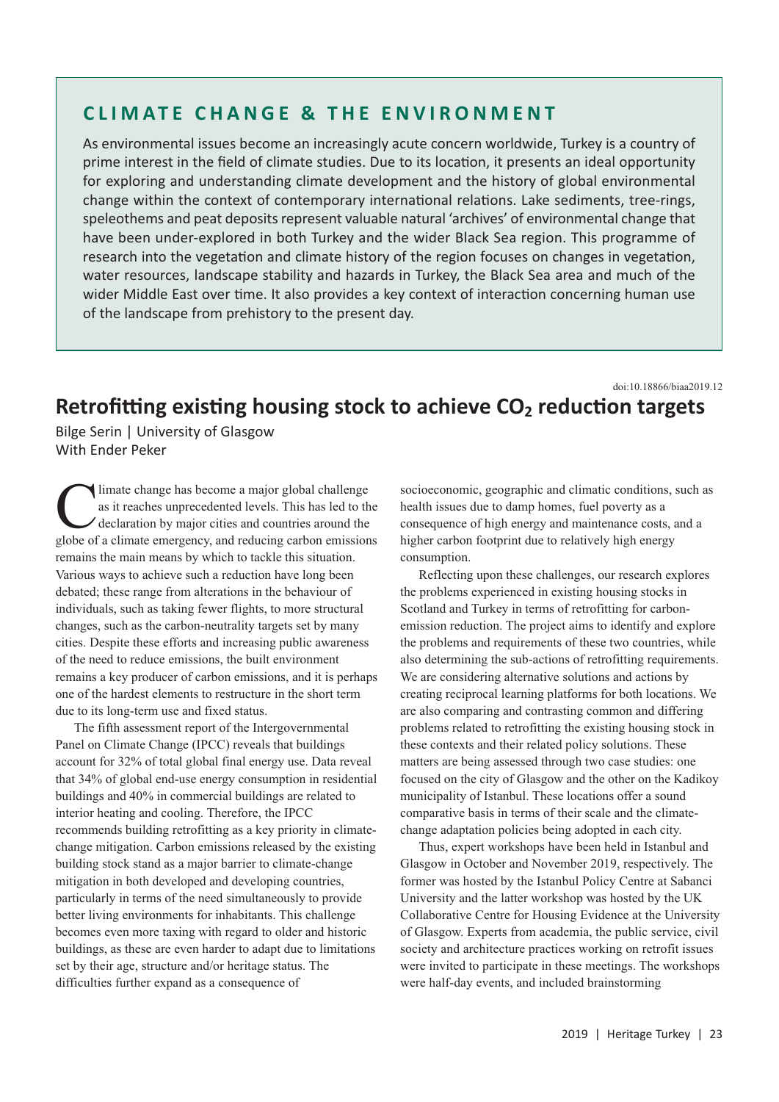## **CLIMATE CHANGE & THE ENVIRONMENT**

As environmental issues become an increasingly acute concern worldwide, Turkey is a country of prime interest in the field of climate studies. Due to its location, it presents an ideal opportunity for exploring and understanding climate development and the history of global environmental change within the context of contemporary international relations. Lake sediments, tree-rings, speleothems and peat deposits represent valuable natural 'archives' of environmental change that have been under-explored in both Turkey and the wider Black Sea region. This programme of research into the vegetation and climate history of the region focuses on changes in vegetation, water resources, landscape stability and hazards in Turkey, the Black Sea area and much of the wider Middle East over time. It also provides a key context of interaction concerning human use of the landscape from prehistory to the present day.

doi:10.18866/biaa2019.12

## **Retrofitting existing housing stock to achieve CO2 reduction targets**

Bilge Serin | University of Glasgow With Ender Peker

limate change has become a major global challenge as it reaches unprecedented levels. This has led to the declaration by major cities and countries around the globe of a climate emergency, and reducing carbon emissions remains the main means by which to tackle this situation. Various ways to achieve such a reduction have long been debated; these range from alterations in the behaviour of individuals, such as taking fewer flights, to more structural changes, such as the carbon-neutrality targets set by many cities. Despite these efforts and increasing public awareness of the need to reduce emissions, the built environment remains a key producer of carbon emissions, and it is perhaps one of the hardest elements to restructure in the short term due to its long-term use and fixed status.

The fifth assessment report of the Intergovernmental Panel on Climate Change (IPCC) reveals that buildings account for 32% of total global final energy use. Data reveal that 34% of global end-use energy consumption in residential buildings and 40% in commercial buildings are related to interior heating and cooling. Therefore, the IPCC recommends building retrofitting as a key priority in climatechange mitigation. Carbon emissions released by the existing building stock stand as a major barrier to climate-change mitigation in both developed and developing countries, particularly in terms of the need simultaneously to provide better living environments for inhabitants. This challenge becomes even more taxing with regard to older and historic buildings, as these are even harder to adapt due to limitations set by their age, structure and/or heritage status. The difficulties further expand as a consequence of

socioeconomic, geographic and climatic conditions, such as health issues due to damp homes, fuel poverty as a consequence of high energy and maintenance costs, and a higher carbon footprint due to relatively high energy consumption.

Reflecting upon these challenges, our research explores the problems experienced in existing housing stocks in Scotland and Turkey in terms of retrofitting for carbonemission reduction. The project aims to identify and explore the problems and requirements of these two countries, while also determining the sub-actions of retrofitting requirements. We are considering alternative solutions and actions by creating reciprocal learning platforms for both locations. We are also comparing and contrasting common and differing problems related to retrofitting the existing housing stock in these contexts and their related policy solutions. These matters are being assessed through two case studies: one focused on the city of Glasgow and the other on the Kadikoy municipality of Istanbul. These locations offer a sound comparative basis in terms of their scale and the climatechange adaptation policies being adopted in each city.

Thus, expert workshops have been held in Istanbul and Glasgow in October and November 2019, respectively. The former was hosted by the Istanbul Policy Centre at Sabanci University and the latter workshop was hosted by the UK Collaborative Centre for Housing Evidence at the University of Glasgow. Experts from academia, the public service, civil society and architecture practices working on retrofit issues were invited to participate in these meetings. The workshops were half-day events, and included brainstorming